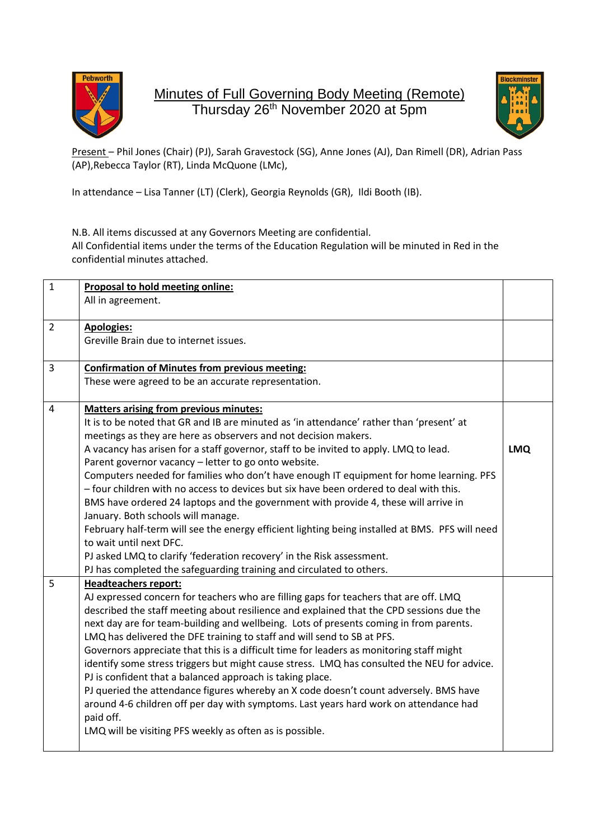

Minutes of Full Governing Body Meeting (Remote) Thursday 26<sup>th</sup> November 2020 at 5pm



Present – Phil Jones (Chair) (PJ), Sarah Gravestock (SG), Anne Jones (AJ), Dan Rimell (DR), Adrian Pass (AP),Rebecca Taylor (RT), Linda McQuone (LMc),

In attendance – Lisa Tanner (LT) (Clerk), Georgia Reynolds (GR), Ildi Booth (IB).

N.B. All items discussed at any Governors Meeting are confidential. All Confidential items under the terms of the Education Regulation will be minuted in Red in the confidential minutes attached.

| $\mathbf{1}$   | Proposal to hold meeting online:<br>All in agreement.                                                                                         |            |
|----------------|-----------------------------------------------------------------------------------------------------------------------------------------------|------------|
| $\overline{2}$ | <b>Apologies:</b>                                                                                                                             |            |
|                | Greville Brain due to internet issues.                                                                                                        |            |
| 3              | <b>Confirmation of Minutes from previous meeting:</b>                                                                                         |            |
|                | These were agreed to be an accurate representation.                                                                                           |            |
| $\overline{4}$ | <b>Matters arising from previous minutes:</b>                                                                                                 |            |
|                | It is to be noted that GR and IB are minuted as 'in attendance' rather than 'present' at                                                      |            |
|                | meetings as they are here as observers and not decision makers.                                                                               |            |
|                | A vacancy has arisen for a staff governor, staff to be invited to apply. LMQ to lead.<br>Parent governor vacancy - letter to go onto website. | <b>LMQ</b> |
|                | Computers needed for families who don't have enough IT equipment for home learning. PFS                                                       |            |
|                | - four children with no access to devices but six have been ordered to deal with this.                                                        |            |
|                | BMS have ordered 24 laptops and the government with provide 4, these will arrive in                                                           |            |
|                | January. Both schools will manage.                                                                                                            |            |
|                | February half-term will see the energy efficient lighting being installed at BMS. PFS will need                                               |            |
|                | to wait until next DFC.                                                                                                                       |            |
|                | PJ asked LMQ to clarify 'federation recovery' in the Risk assessment.                                                                         |            |
|                | PJ has completed the safeguarding training and circulated to others.                                                                          |            |
| 5              | <b>Headteachers report:</b>                                                                                                                   |            |
|                | AJ expressed concern for teachers who are filling gaps for teachers that are off. LMQ                                                         |            |
|                | described the staff meeting about resilience and explained that the CPD sessions due the                                                      |            |
|                | next day are for team-building and wellbeing. Lots of presents coming in from parents.                                                        |            |
|                | LMQ has delivered the DFE training to staff and will send to SB at PFS.                                                                       |            |
|                | Governors appreciate that this is a difficult time for leaders as monitoring staff might                                                      |            |
|                | identify some stress triggers but might cause stress. LMQ has consulted the NEU for advice.                                                   |            |
|                | PJ is confident that a balanced approach is taking place.                                                                                     |            |
|                | PJ queried the attendance figures whereby an X code doesn't count adversely. BMS have                                                         |            |
|                | around 4-6 children off per day with symptoms. Last years hard work on attendance had<br>paid off.                                            |            |
|                | LMQ will be visiting PFS weekly as often as is possible.                                                                                      |            |
|                |                                                                                                                                               |            |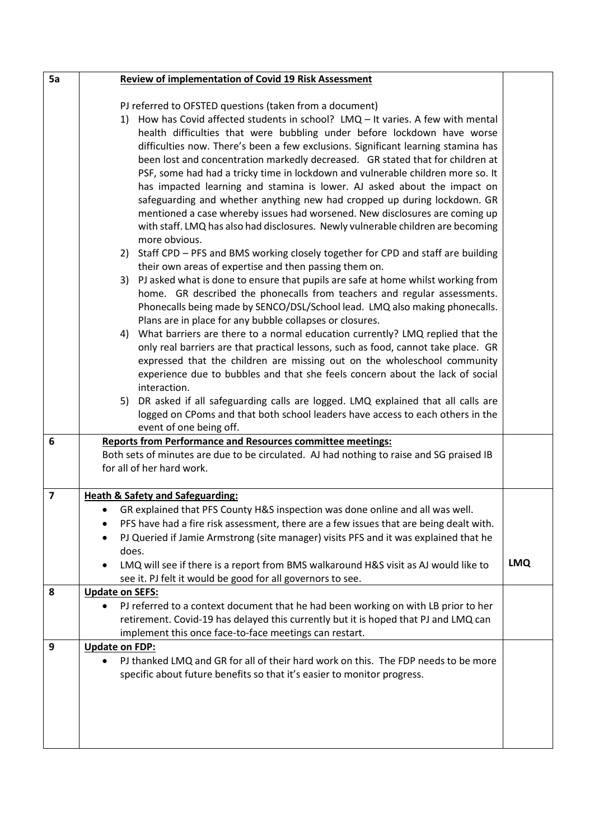| 5a             | Review of implementation of Covid 19 Risk Assessment                                                                                                                                                                                                                                                                                                                                                                                                                                                                                                                                                                                                                                                                                                                                                                                                                                                                                                                                                                                                                                                                                                                                                                                                                                                                                                                                                                                                                                                                                                                                                                                                                                                                                                                                                                                                                                                                                                                                                                                                  |            |
|----------------|-------------------------------------------------------------------------------------------------------------------------------------------------------------------------------------------------------------------------------------------------------------------------------------------------------------------------------------------------------------------------------------------------------------------------------------------------------------------------------------------------------------------------------------------------------------------------------------------------------------------------------------------------------------------------------------------------------------------------------------------------------------------------------------------------------------------------------------------------------------------------------------------------------------------------------------------------------------------------------------------------------------------------------------------------------------------------------------------------------------------------------------------------------------------------------------------------------------------------------------------------------------------------------------------------------------------------------------------------------------------------------------------------------------------------------------------------------------------------------------------------------------------------------------------------------------------------------------------------------------------------------------------------------------------------------------------------------------------------------------------------------------------------------------------------------------------------------------------------------------------------------------------------------------------------------------------------------------------------------------------------------------------------------------------------------|------------|
| 6              | PJ referred to OFSTED questions (taken from a document)<br>1) How has Covid affected students in school? LMQ - It varies. A few with mental<br>health difficulties that were bubbling under before lockdown have worse<br>difficulties now. There's been a few exclusions. Significant learning stamina has<br>been lost and concentration markedly decreased. GR stated that for children at<br>PSF, some had had a tricky time in lockdown and vulnerable children more so. It<br>has impacted learning and stamina is lower. AJ asked about the impact on<br>safeguarding and whether anything new had cropped up during lockdown. GR<br>mentioned a case whereby issues had worsened. New disclosures are coming up<br>with staff. LMQ has also had disclosures. Newly vulnerable children are becoming<br>more obvious.<br>2) Staff CPD - PFS and BMS working closely together for CPD and staff are building<br>their own areas of expertise and then passing them on.<br>PJ asked what is done to ensure that pupils are safe at home whilst working from<br>3)<br>home. GR described the phonecalls from teachers and regular assessments.<br>Phonecalls being made by SENCO/DSL/School lead. LMQ also making phonecalls.<br>Plans are in place for any bubble collapses or closures.<br>4) What barriers are there to a normal education currently? LMQ replied that the<br>only real barriers are that practical lessons, such as food, cannot take place. GR<br>expressed that the children are missing out on the wholeschool community<br>experience due to bubbles and that she feels concern about the lack of social<br>interaction.<br>5) DR asked if all safeguarding calls are logged. LMQ explained that all calls are<br>logged on CPoms and that both school leaders have access to each others in the<br>event of one being off.<br><b>Reports from Performance and Resources committee meetings:</b><br>Both sets of minutes are due to be circulated. AJ had nothing to raise and SG praised IB<br>for all of her hard work. |            |
| $\overline{7}$ | <b>Heath &amp; Safety and Safeguarding:</b>                                                                                                                                                                                                                                                                                                                                                                                                                                                                                                                                                                                                                                                                                                                                                                                                                                                                                                                                                                                                                                                                                                                                                                                                                                                                                                                                                                                                                                                                                                                                                                                                                                                                                                                                                                                                                                                                                                                                                                                                           |            |
|                | GR explained that PFS County H&S inspection was done online and all was well.<br>$\bullet$<br>PFS have had a fire risk assessment, there are a few issues that are being dealt with.<br>٠<br>PJ Queried if Jamie Armstrong (site manager) visits PFS and it was explained that he<br>does.<br>LMQ will see if there is a report from BMS walkaround H&S visit as AJ would like to<br>see it. PJ felt it would be good for all governors to see.                                                                                                                                                                                                                                                                                                                                                                                                                                                                                                                                                                                                                                                                                                                                                                                                                                                                                                                                                                                                                                                                                                                                                                                                                                                                                                                                                                                                                                                                                                                                                                                                       | <b>LMQ</b> |
| 8              | <b>Update on SEFS:</b><br>PJ referred to a context document that he had been working on with LB prior to her                                                                                                                                                                                                                                                                                                                                                                                                                                                                                                                                                                                                                                                                                                                                                                                                                                                                                                                                                                                                                                                                                                                                                                                                                                                                                                                                                                                                                                                                                                                                                                                                                                                                                                                                                                                                                                                                                                                                          |            |
|                | retirement. Covid-19 has delayed this currently but it is hoped that PJ and LMQ can<br>implement this once face-to-face meetings can restart.                                                                                                                                                                                                                                                                                                                                                                                                                                                                                                                                                                                                                                                                                                                                                                                                                                                                                                                                                                                                                                                                                                                                                                                                                                                                                                                                                                                                                                                                                                                                                                                                                                                                                                                                                                                                                                                                                                         |            |
| 9              | <b>Update on FDP:</b>                                                                                                                                                                                                                                                                                                                                                                                                                                                                                                                                                                                                                                                                                                                                                                                                                                                                                                                                                                                                                                                                                                                                                                                                                                                                                                                                                                                                                                                                                                                                                                                                                                                                                                                                                                                                                                                                                                                                                                                                                                 |            |
|                | PJ thanked LMQ and GR for all of their hard work on this. The FDP needs to be more<br>specific about future benefits so that it's easier to monitor progress.                                                                                                                                                                                                                                                                                                                                                                                                                                                                                                                                                                                                                                                                                                                                                                                                                                                                                                                                                                                                                                                                                                                                                                                                                                                                                                                                                                                                                                                                                                                                                                                                                                                                                                                                                                                                                                                                                         |            |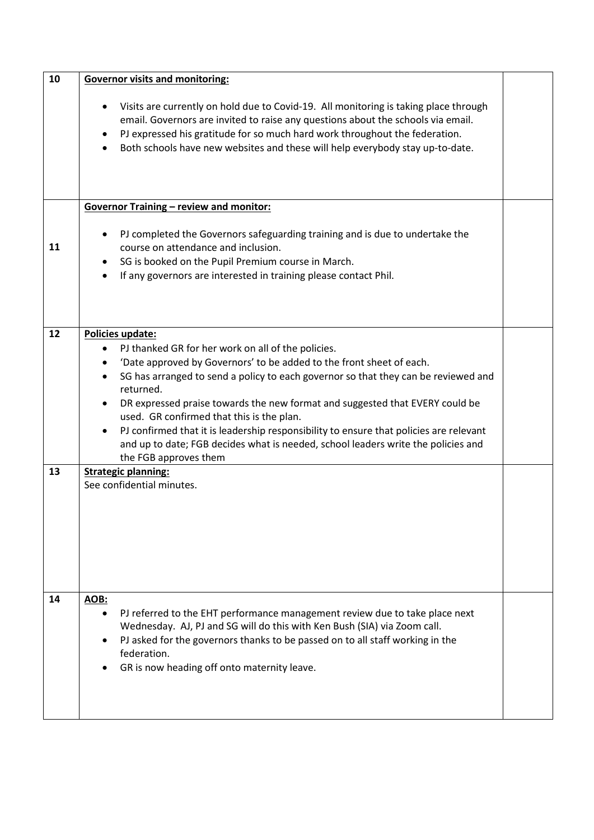| 10 | <b>Governor visits and monitoring:</b>                                                                                                                                                                                                                                                                                                                                                                                                                                                                                                                                                       |  |  |  |
|----|----------------------------------------------------------------------------------------------------------------------------------------------------------------------------------------------------------------------------------------------------------------------------------------------------------------------------------------------------------------------------------------------------------------------------------------------------------------------------------------------------------------------------------------------------------------------------------------------|--|--|--|
|    | Visits are currently on hold due to Covid-19. All monitoring is taking place through<br>email. Governors are invited to raise any questions about the schools via email.<br>PJ expressed his gratitude for so much hard work throughout the federation.<br>Both schools have new websites and these will help everybody stay up-to-date.                                                                                                                                                                                                                                                     |  |  |  |
|    | <b>Governor Training - review and monitor:</b>                                                                                                                                                                                                                                                                                                                                                                                                                                                                                                                                               |  |  |  |
| 11 | PJ completed the Governors safeguarding training and is due to undertake the<br>course on attendance and inclusion.<br>SG is booked on the Pupil Premium course in March.<br>$\bullet$<br>If any governors are interested in training please contact Phil.<br>$\bullet$                                                                                                                                                                                                                                                                                                                      |  |  |  |
| 12 | Policies update:                                                                                                                                                                                                                                                                                                                                                                                                                                                                                                                                                                             |  |  |  |
| 13 | PJ thanked GR for her work on all of the policies.<br>'Date approved by Governors' to be added to the front sheet of each.<br>$\bullet$<br>SG has arranged to send a policy to each governor so that they can be reviewed and<br>$\bullet$<br>returned.<br>DR expressed praise towards the new format and suggested that EVERY could be<br>used. GR confirmed that this is the plan.<br>PJ confirmed that it is leadership responsibility to ensure that policies are relevant<br>and up to date; FGB decides what is needed, school leaders write the policies and<br>the FGB approves them |  |  |  |
|    | <b>Strategic planning:</b><br>See confidential minutes.                                                                                                                                                                                                                                                                                                                                                                                                                                                                                                                                      |  |  |  |
|    |                                                                                                                                                                                                                                                                                                                                                                                                                                                                                                                                                                                              |  |  |  |
| 14 | <b>AOB:</b><br>PJ referred to the EHT performance management review due to take place next<br>Wednesday. AJ, PJ and SG will do this with Ken Bush (SIA) via Zoom call.<br>PJ asked for the governors thanks to be passed on to all staff working in the<br>federation.<br>GR is now heading off onto maternity leave.                                                                                                                                                                                                                                                                        |  |  |  |